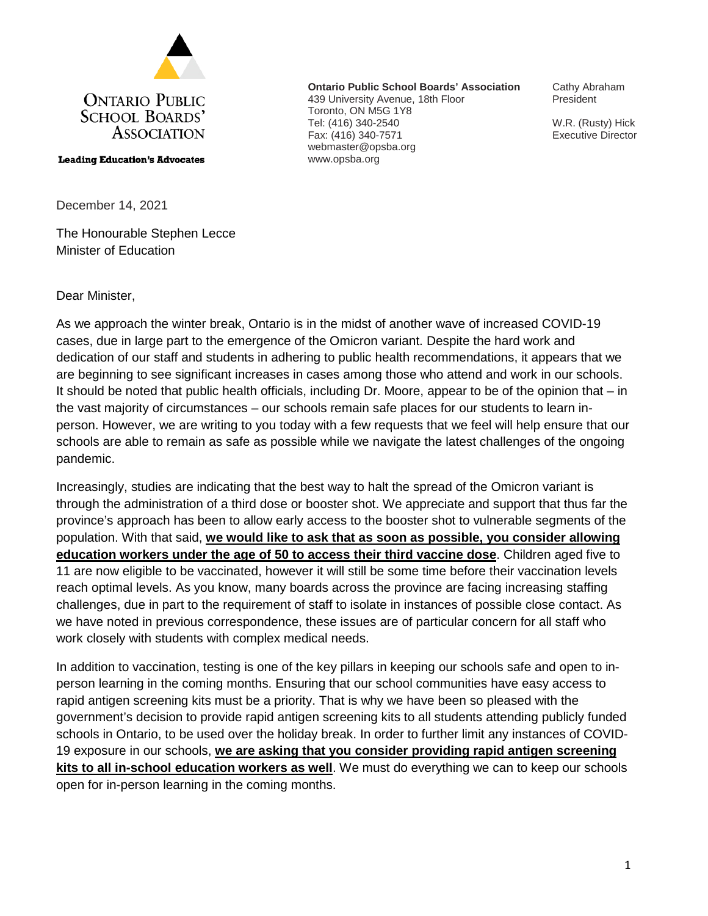

**Leading Education's Advocates** 

**Ontario Public School Boards' Association** 439 University Avenue, 18th Floor Toronto, ON M5G 1Y8 Tel: (416) 340-2540 Fax: (416) 340-7571 webmaster@opsba.org www.opsba.org

Cathy Abraham President

W.R. (Rusty) Hick Executive Director

December 14, 2021

The Honourable Stephen Lecce Minister of Education

Dear Minister,

As we approach the winter break, Ontario is in the midst of another wave of increased COVID-19 cases, due in large part to the emergence of the Omicron variant. Despite the hard work and dedication of our staff and students in adhering to public health recommendations, it appears that we are beginning to see significant increases in cases among those who attend and work in our schools. It should be noted that public health officials, including Dr. Moore, appear to be of the opinion that – in the vast majority of circumstances – our schools remain safe places for our students to learn inperson. However, we are writing to you today with a few requests that we feel will help ensure that our schools are able to remain as safe as possible while we navigate the latest challenges of the ongoing pandemic.

Increasingly, studies are indicating that the best way to halt the spread of the Omicron variant is through the administration of a third dose or booster shot. We appreciate and support that thus far the province's approach has been to allow early access to the booster shot to vulnerable segments of the population. With that said, **we would like to ask that as soon as possible, you consider allowing education workers under the age of 50 to access their third vaccine dose**. Children aged five to 11 are now eligible to be vaccinated, however it will still be some time before their vaccination levels reach optimal levels. As you know, many boards across the province are facing increasing staffing challenges, due in part to the requirement of staff to isolate in instances of possible close contact. As we have noted in previous correspondence, these issues are of particular concern for all staff who work closely with students with complex medical needs.

In addition to vaccination, testing is one of the key pillars in keeping our schools safe and open to inperson learning in the coming months. Ensuring that our school communities have easy access to rapid antigen screening kits must be a priority. That is why we have been so pleased with the government's decision to provide rapid antigen screening kits to all students attending publicly funded schools in Ontario, to be used over the holiday break. In order to further limit any instances of COVID-19 exposure in our schools, **we are asking that you consider providing rapid antigen screening kits to all in-school education workers as well**. We must do everything we can to keep our schools open for in-person learning in the coming months.